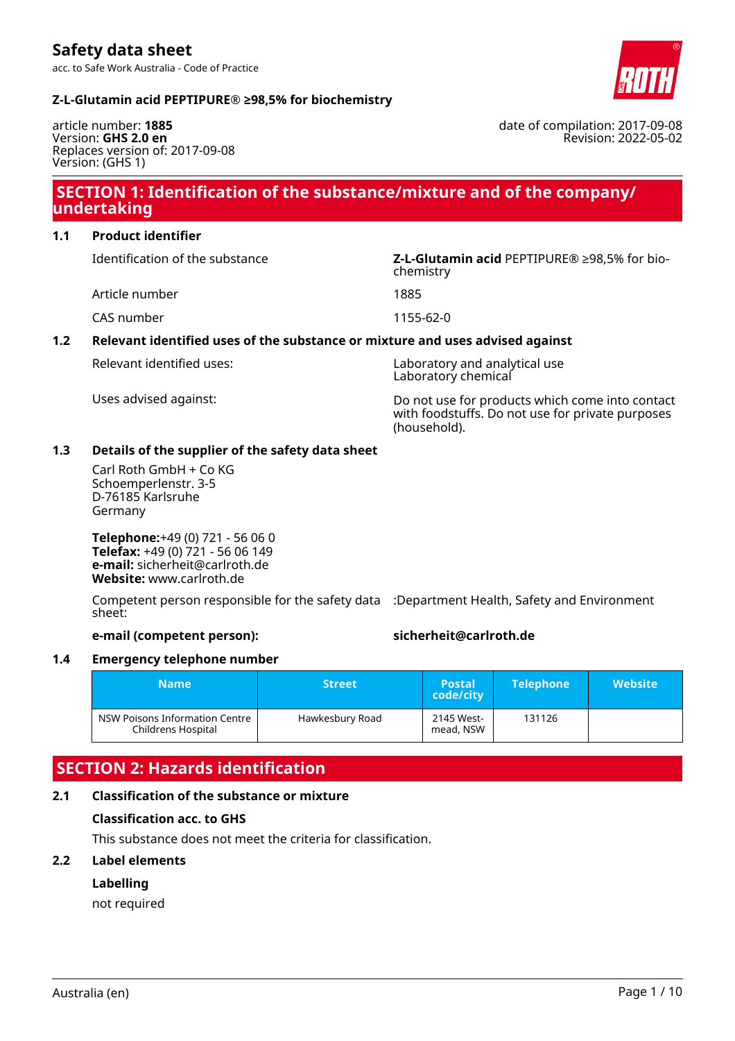

date of compilation: 2017-09-08

Revision: 2022-05-02

#### **Z-L-Glutamin acid PEPTIPURE® ≥98,5% for biochemistry**

article number: **1885** Version: **GHS 2.0 en** Replaces version of: 2017-09-08 Version: (GHS 1)

## **SECTION 1: Identification of the substance/mixture and of the company/ undertaking**

**1.1 Product identifier**

Article number 1885

CAS number 1155-62-0

#### **1.2 Relevant identified uses of the substance or mixture and uses advised against**

Relevant identified uses: Laboratory and analytical use Laboratory chemical

Uses advised against: Do not use for products which come into contact with foodstuffs. Do not use for private purposes (household).

#### **1.3 Details of the supplier of the safety data sheet**

Carl Roth GmbH + Co KG Schoemperlenstr. 3-5 D-76185 Karlsruhe Germany

**Telephone:**+49 (0) 721 - 56 06 0 **Telefax:** +49 (0) 721 - 56 06 149 **e-mail:** sicherheit@carlroth.de **Website:** www.carlroth.de

Competent person responsible for the safety data :Department Health, Safety and Environment sheet:

#### **e-mail (competent person): sicherheit@carlroth.de**

#### **1.4 Emergency telephone number**

| <b>Name</b>                                          | <b>Street</b>   | <b>Postal</b><br>code/city | <b>Telephone</b> | <b>Website</b> |
|------------------------------------------------------|-----------------|----------------------------|------------------|----------------|
| NSW Poisons Information Centre<br>Childrens Hospital | Hawkesbury Road | 2145 West-<br>mead, NSW    | 131126           |                |

# **SECTION 2: Hazards identification**

### **2.1 Classification of the substance or mixture**

#### **Classification acc. to GHS**

This substance does not meet the criteria for classification.

#### **2.2 Label elements**

#### **Labelling**

not required

Identification of the substance **Z-L-Glutamin acid** PEPTIPURE® ≥98,5% for biochemistry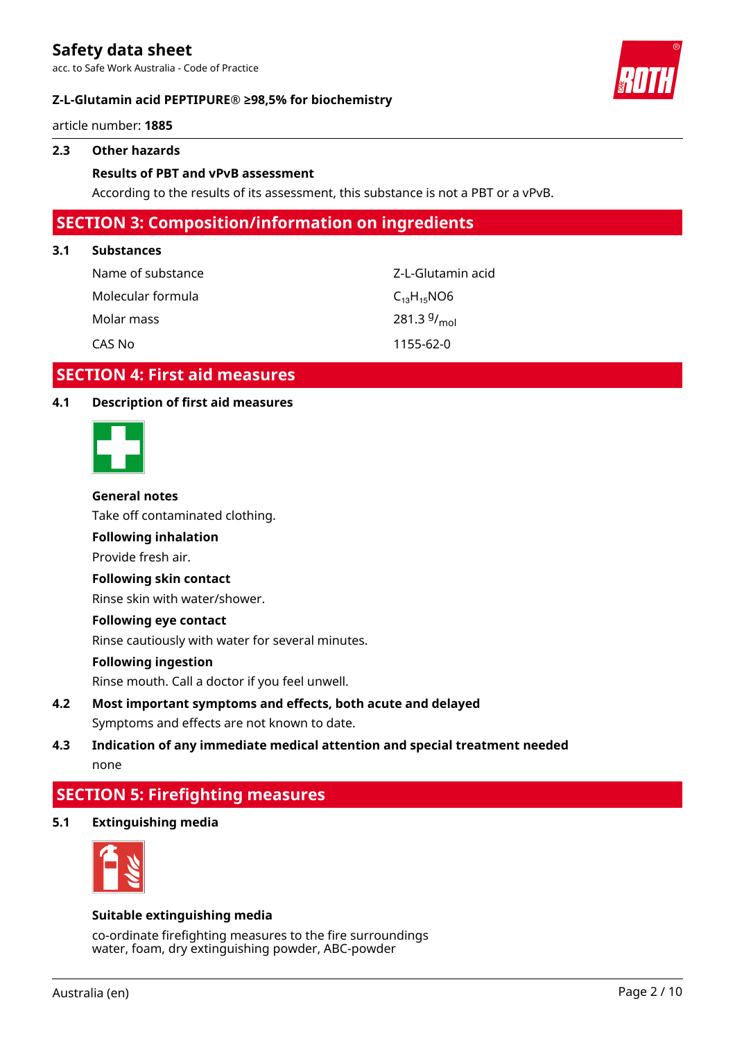acc. to Safe Work Australia - Code of Practice

#### **Z-L-Glutamin acid PEPTIPURE® ≥98,5% for biochemistry**

article number: **1885**

#### **2.3 Other hazards**

#### **Results of PBT and vPvB assessment**

According to the results of its assessment, this substance is not a PBT or a vPvB.

## **SECTION 3: Composition/information on ingredients**

#### **3.1 Substances**

| Name of substance | Z-L-Glutamin acid |
|-------------------|-------------------|
| Molecular formula | $C_{13}H_{15}NO6$ |
| Molar mass        | 281.3 $9/_{mol}$  |
| CAS No            | 1155-62-0         |

## **SECTION 4: First aid measures**

#### **4.1 Description of first aid measures**



#### **General notes**

Take off contaminated clothing.

## **Following inhalation**

Provide fresh air.

#### **Following skin contact**

Rinse skin with water/shower.

#### **Following eye contact**

Rinse cautiously with water for several minutes.

#### **Following ingestion**

Rinse mouth. Call a doctor if you feel unwell.

**4.2 Most important symptoms and effects, both acute and delayed** Symptoms and effects are not known to date.

## **4.3 Indication of any immediate medical attention and special treatment needed** none

## **SECTION 5: Firefighting measures**

**5.1 Extinguishing media**



#### **Suitable extinguishing media**

co-ordinate firefighting measures to the fire surroundings water, foam, dry extinguishing powder, ABC-powder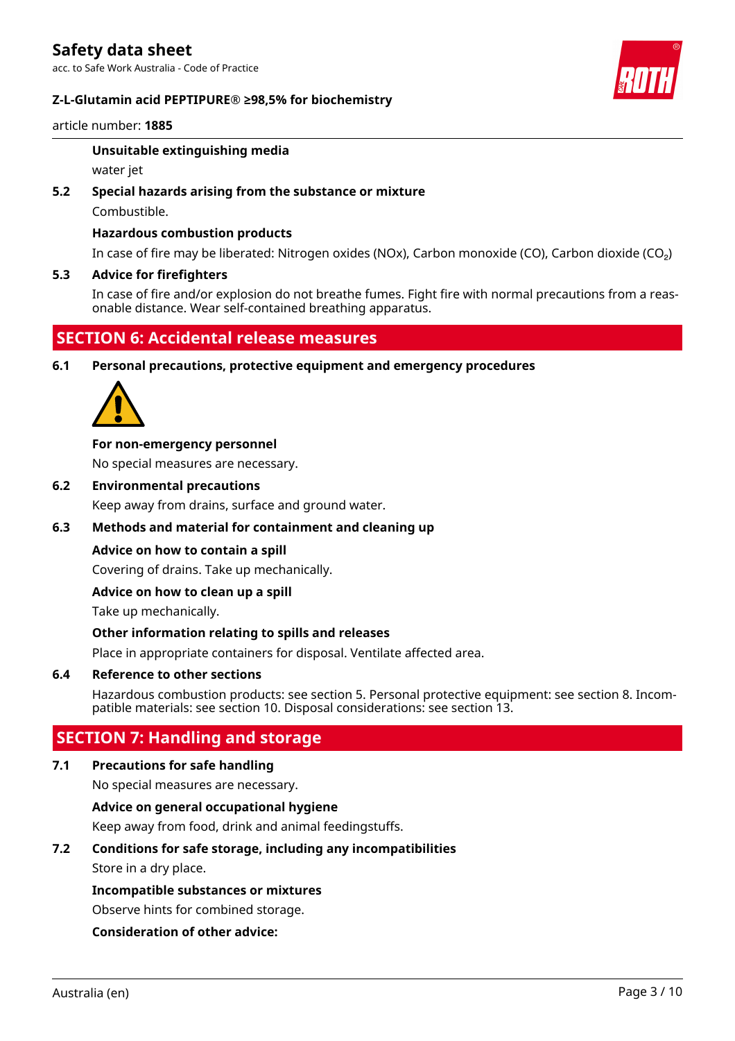#### **Z-L-Glutamin acid PEPTIPURE® ≥98,5% for biochemistry**



#### article number: **1885**

#### **Unsuitable extinguishing media**

water jet

#### **5.2 Special hazards arising from the substance or mixture**

Combustible.

#### **Hazardous combustion products**

In case of fire may be liberated: Nitrogen oxides (NOx), Carbon monoxide (CO), Carbon dioxide (CO₂)

#### **5.3 Advice for firefighters**

In case of fire and/or explosion do not breathe fumes. Fight fire with normal precautions from a reasonable distance. Wear self-contained breathing apparatus.

## **SECTION 6: Accidental release measures**

**6.1 Personal precautions, protective equipment and emergency procedures**



#### **For non-emergency personnel**

No special measures are necessary.

**6.2 Environmental precautions**

Keep away from drains, surface and ground water.

#### **6.3 Methods and material for containment and cleaning up**

#### **Advice on how to contain a spill**

Covering of drains. Take up mechanically.

#### **Advice on how to clean up a spill**

Take up mechanically.

#### **Other information relating to spills and releases**

Place in appropriate containers for disposal. Ventilate affected area.

#### **6.4 Reference to other sections**

Hazardous combustion products: see section 5. Personal protective equipment: see section 8. Incompatible materials: see section 10. Disposal considerations: see section 13.

## **SECTION 7: Handling and storage**

#### **7.1 Precautions for safe handling**

No special measures are necessary.

#### **Advice on general occupational hygiene**

Keep away from food, drink and animal feedingstuffs.

#### **7.2 Conditions for safe storage, including any incompatibilities**

Store in a dry place.

#### **Incompatible substances or mixtures**

Observe hints for combined storage.

#### **Consideration of other advice:**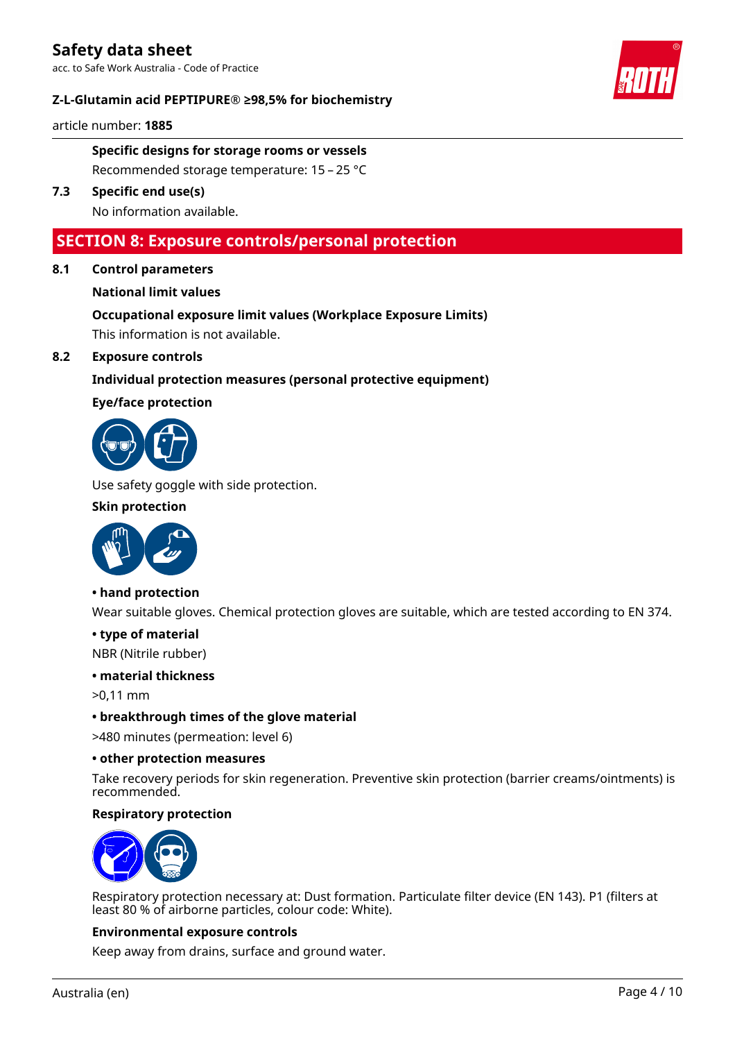#### **Z-L-Glutamin acid PEPTIPURE® ≥98,5% for biochemistry**

article number: **1885**

**Specific designs for storage rooms or vessels** Recommended storage temperature: 15 – 25 °C

**7.3 Specific end use(s)** No information available.

## **SECTION 8: Exposure controls/personal protection**

**8.1 Control parameters**

### **National limit values**

# **Occupational exposure limit values (Workplace Exposure Limits)**

This information is not available.

### **8.2 Exposure controls**

### **Individual protection measures (personal protective equipment)**

#### **Eye/face protection**



Use safety goggle with side protection.

#### **Skin protection**



#### **• hand protection**

Wear suitable gloves. Chemical protection gloves are suitable, which are tested according to EN 374.

#### **• type of material**

NBR (Nitrile rubber)

#### **• material thickness**

>0,11 mm

#### **• breakthrough times of the glove material**

>480 minutes (permeation: level 6)

#### **• other protection measures**

Take recovery periods for skin regeneration. Preventive skin protection (barrier creams/ointments) is recommended.

#### **Respiratory protection**



Respiratory protection necessary at: Dust formation. Particulate filter device (EN 143). P1 (filters at least 80 % of airborne particles, colour code: White).

#### **Environmental exposure controls**

Keep away from drains, surface and ground water.

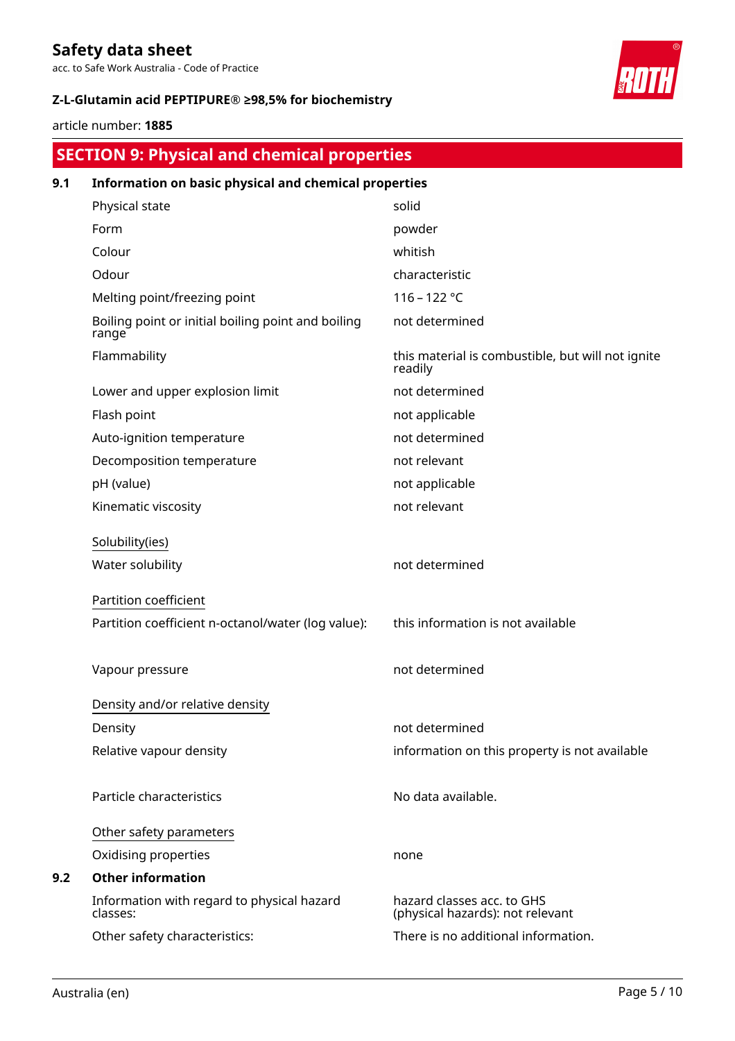acc. to Safe Work Australia - Code of Practice

## **Z-L-Glutamin acid PEPTIPURE® ≥98,5% for biochemistry**

article number: **1885**

| <b>SECTION 9: Physical and chemical properties</b> |  |  |
|----------------------------------------------------|--|--|
|                                                    |  |  |
|                                                    |  |  |

| 9.1 | Information on basic physical and chemical properties       |                                                                |
|-----|-------------------------------------------------------------|----------------------------------------------------------------|
|     | Physical state                                              | solid                                                          |
|     | Form                                                        | powder                                                         |
|     | Colour                                                      | whitish                                                        |
|     | Odour                                                       | characteristic                                                 |
|     | Melting point/freezing point                                | 116 - 122 °C                                                   |
|     | Boiling point or initial boiling point and boiling<br>range | not determined                                                 |
|     | Flammability                                                | this material is combustible, but will not ignite<br>readily   |
|     | Lower and upper explosion limit                             | not determined                                                 |
|     | Flash point                                                 | not applicable                                                 |
|     | Auto-ignition temperature                                   | not determined                                                 |
|     | Decomposition temperature                                   | not relevant                                                   |
|     | pH (value)                                                  | not applicable                                                 |
|     | Kinematic viscosity                                         | not relevant                                                   |
|     | Solubility(ies)                                             |                                                                |
|     | Water solubility                                            | not determined                                                 |
|     | Partition coefficient                                       |                                                                |
|     | Partition coefficient n-octanol/water (log value):          | this information is not available                              |
|     | Vapour pressure                                             | not determined                                                 |
|     | Density and/or relative density                             |                                                                |
|     | Density                                                     | not determined                                                 |
|     | Relative vapour density                                     | information on this property is not available                  |
|     | Particle characteristics                                    | No data available.                                             |
|     | Other safety parameters                                     |                                                                |
|     | Oxidising properties                                        | none                                                           |
| 9.2 | <b>Other information</b>                                    |                                                                |
|     | Information with regard to physical hazard<br>classes:      | hazard classes acc. to GHS<br>(physical hazards): not relevant |
|     | Other safety characteristics:                               | There is no additional information.                            |
|     |                                                             |                                                                |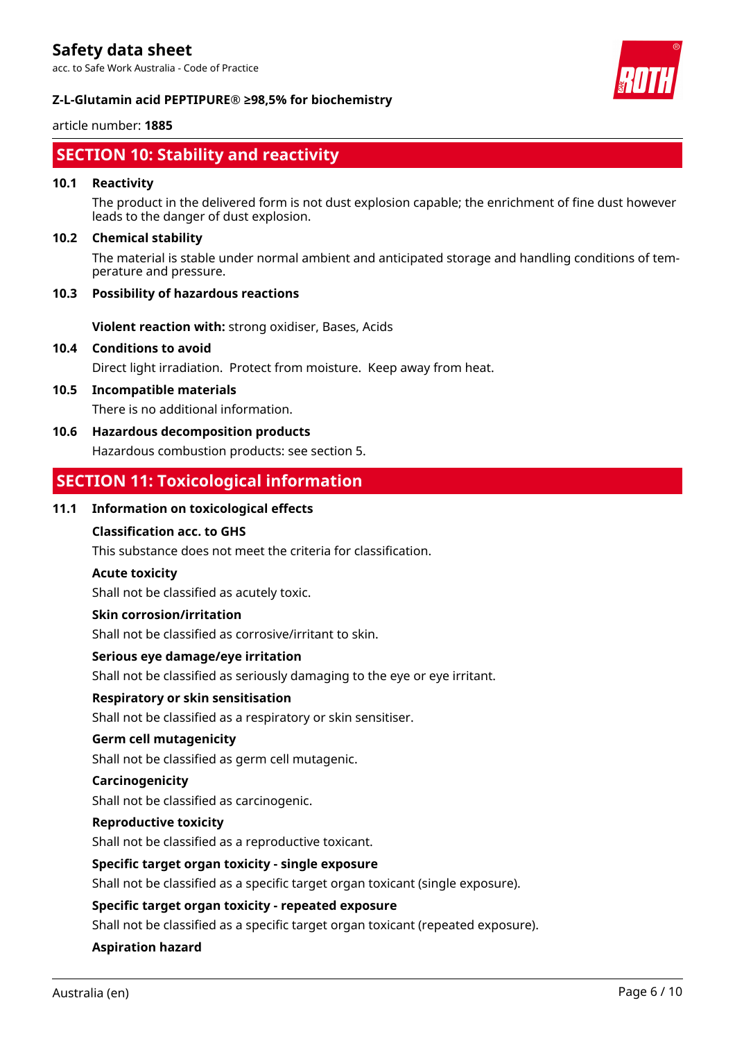acc. to Safe Work Australia - Code of Practice



#### **Z-L-Glutamin acid PEPTIPURE® ≥98,5% for biochemistry**

#### article number: **1885**

# **SECTION 10: Stability and reactivity**

#### **10.1 Reactivity**

The product in the delivered form is not dust explosion capable; the enrichment of fine dust however leads to the danger of dust explosion.

#### **10.2 Chemical stability**

The material is stable under normal ambient and anticipated storage and handling conditions of temperature and pressure.

#### **10.3 Possibility of hazardous reactions**

**Violent reaction with:** strong oxidiser, Bases, Acids

### **10.4 Conditions to avoid**

Direct light irradiation. Protect from moisture. Keep away from heat.

#### **10.5 Incompatible materials**

There is no additional information.

#### **10.6 Hazardous decomposition products**

Hazardous combustion products: see section 5.

## **SECTION 11: Toxicological information**

#### **11.1 Information on toxicological effects**

#### **Classification acc. to GHS**

This substance does not meet the criteria for classification.

#### **Acute toxicity**

Shall not be classified as acutely toxic.

#### **Skin corrosion/irritation**

Shall not be classified as corrosive/irritant to skin.

#### **Serious eye damage/eye irritation**

Shall not be classified as seriously damaging to the eye or eye irritant.

#### **Respiratory or skin sensitisation**

Shall not be classified as a respiratory or skin sensitiser.

#### **Germ cell mutagenicity**

Shall not be classified as germ cell mutagenic.

#### **Carcinogenicity**

Shall not be classified as carcinogenic.

#### **Reproductive toxicity**

Shall not be classified as a reproductive toxicant.

#### **Specific target organ toxicity - single exposure**

Shall not be classified as a specific target organ toxicant (single exposure).

#### **Specific target organ toxicity - repeated exposure**

Shall not be classified as a specific target organ toxicant (repeated exposure).

#### **Aspiration hazard**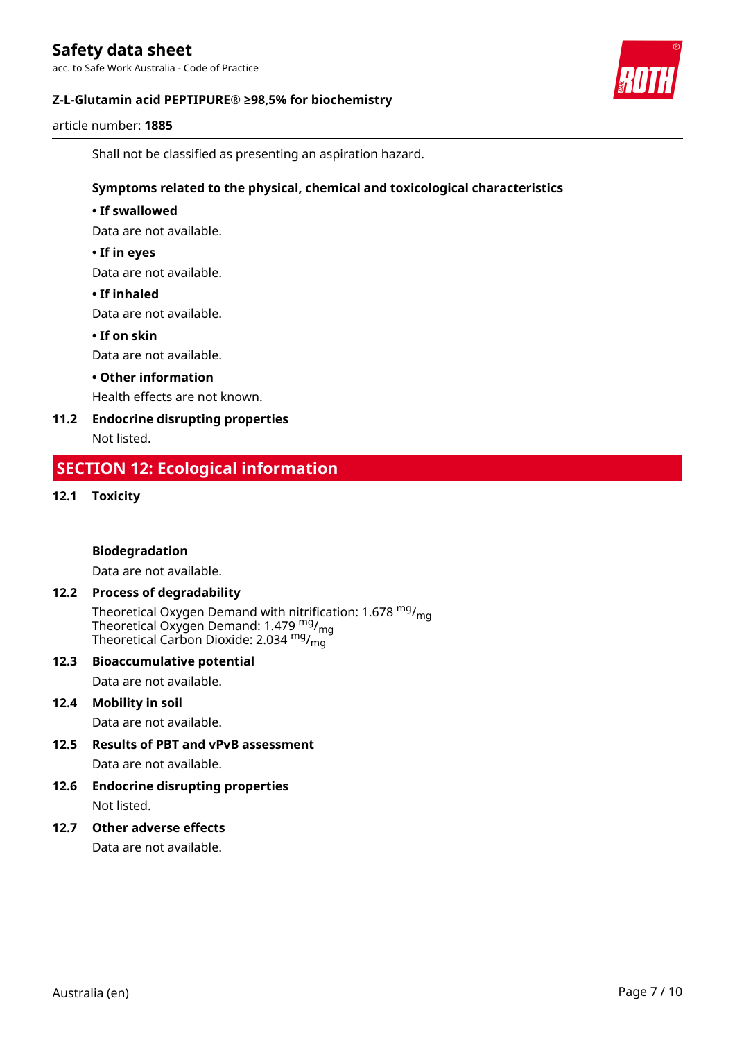acc. to Safe Work Australia - Code of Practice



#### **Z-L-Glutamin acid PEPTIPURE® ≥98,5% for biochemistry**

article number: **1885**

Shall not be classified as presenting an aspiration hazard.

#### **Symptoms related to the physical, chemical and toxicological characteristics**

#### **• If swallowed**

Data are not available.

#### **• If in eyes**

Data are not available.

#### **• If inhaled**

Data are not available.

#### **• If on skin**

Data are not available.

#### **• Other information**

Health effects are not known.

# **11.2 Endocrine disrupting properties**

Not listed.

## **SECTION 12: Ecological information**

#### **12.1 Toxicity**

#### **Biodegradation**

Data are not available.

#### **12.2 Process of degradability**

Theoretical Oxygen Demand with nitrification: 1.678  $mg/mq$ Theoretical Oxygen Demand: 1.479  $mg/m<sub>g</sub>$ Theoretical Carbon Dioxide: 2.034  $mg/mq$ 

#### **12.3 Bioaccumulative potential**

Data are not available.

#### **12.4 Mobility in soil**

Data are not available.

## **12.5 Results of PBT and vPvB assessment**

Data are not available.

#### **12.6 Endocrine disrupting properties** Not listed.

#### **12.7 Other adverse effects**

Data are not available.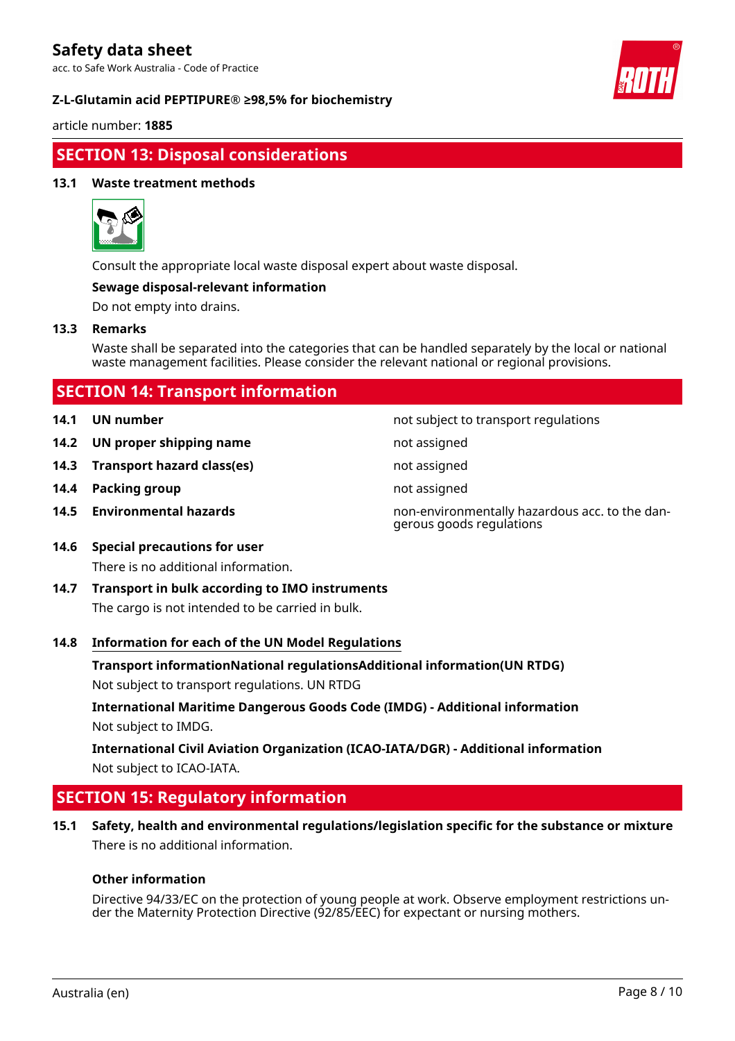acc. to Safe Work Australia - Code of Practice

#### **Z-L-Glutamin acid PEPTIPURE® ≥98,5% for biochemistry**



article number: **1885**

## **SECTION 13: Disposal considerations**

#### **13.1 Waste treatment methods**



Consult the appropriate local waste disposal expert about waste disposal.

#### **Sewage disposal-relevant information**

Do not empty into drains.

#### **13.3 Remarks**

Waste shall be separated into the categories that can be handled separately by the local or national waste management facilities. Please consider the relevant national or regional provisions.

|  |  | <b>SECTION 14: Transport information</b> |
|--|--|------------------------------------------|
|  |  |                                          |

- 
- **14.2 UN proper shipping name** not assigned
- **14.3 Transport hazard class(es)** not assigned
- **14.4 Packing group not assigned not assigned**
- 

**14.1 UN number 14.1 UN** number

- 
- 
- 

**14.5 Environmental hazards** non-environmentally hazardous acc. to the dangerous goods regulations

- **14.6 Special precautions for user** There is no additional information.
- **14.7 Transport in bulk according to IMO instruments** The cargo is not intended to be carried in bulk.

#### **14.8 Information for each of the UN Model Regulations**

**Transport informationNational regulationsAdditional information(UN RTDG)**

Not subject to transport regulations. UN RTDG

**International Maritime Dangerous Goods Code (IMDG) - Additional information** Not subject to IMDG.

**International Civil Aviation Organization (ICAO-IATA/DGR) - Additional information** Not subject to ICAO-IATA.

## **SECTION 15: Regulatory information**

**15.1 Safety, health and environmental regulations/legislation specific for the substance or mixture** There is no additional information.

#### **Other information**

Directive 94/33/EC on the protection of young people at work. Observe employment restrictions under the Maternity Protection Directive (92/85/EEC) for expectant or nursing mothers.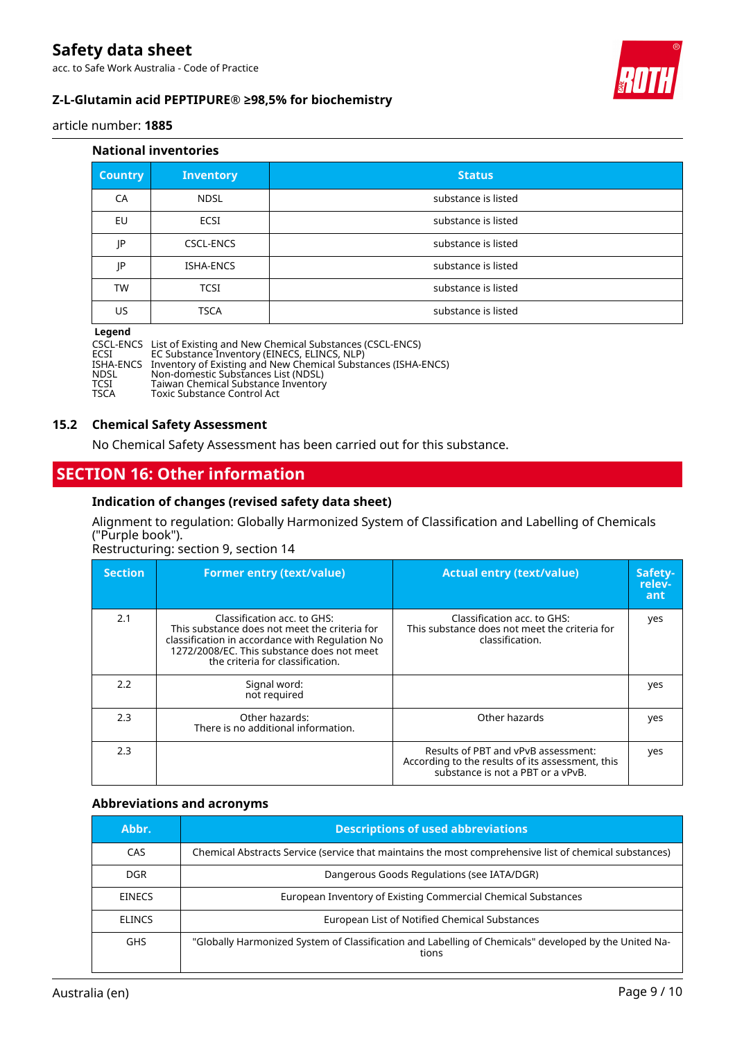acc. to Safe Work Australia - Code of Practice



article number: **1885**

#### **National inventories**

| <b>Country</b> | <b>Inventory</b> | <b>Status</b>       |
|----------------|------------------|---------------------|
| CA             | <b>NDSL</b>      | substance is listed |
| EU             | <b>ECSI</b>      | substance is listed |
| JP             | <b>CSCL-ENCS</b> | substance is listed |
| JP             | <b>ISHA-ENCS</b> | substance is listed |
| TW             | <b>TCSI</b>      | substance is listed |
| US.            | <b>TSCA</b>      | substance is listed |

#### **Legend**

|             | CSCL-ENCS List of Existing and New Chemical Substances (CSCL-ENCS)      |
|-------------|-------------------------------------------------------------------------|
| ECSI        | EC Substance Inventory (EINECS, ELINCS, NLP)                            |
|             | ISHA-ENCS Inventory of Existing and New Chemical Substances (ISHA-ENCS) |
| NDSL        | Non-domestic Substances List (NDSL)                                     |
| <b>TCCT</b> | Taiwan Chamical Cubetance Inventory                                     |

TCSI Taiwan Chemical Substance Inventory<br>TSCA Toxic Substance Control Act Toxic Substance Control Act

### **15.2 Chemical Safety Assessment**

No Chemical Safety Assessment has been carried out for this substance.

## **SECTION 16: Other information**

#### **Indication of changes (revised safety data sheet)**

Alignment to regulation: Globally Harmonized System of Classification and Labelling of Chemicals ("Purple book").

Restructuring: section 9, section 14

| <b>Section</b> | <b>Former entry (text/value)</b>                                                                                                                                                                                  | <b>Actual entry (text/value)</b>                                                                                             | Safety-<br>relev-<br>ant |
|----------------|-------------------------------------------------------------------------------------------------------------------------------------------------------------------------------------------------------------------|------------------------------------------------------------------------------------------------------------------------------|--------------------------|
| 2.1            | Classification acc. to GHS:<br>This substance does not meet the criteria for<br>classification in accordance with Regulation No<br>1272/2008/EC. This substance does not meet<br>the criteria for classification. | Classification acc. to GHS:<br>This substance does not meet the criteria for<br>classification.                              | yes                      |
| 2.2            | Signal word:<br>not required                                                                                                                                                                                      |                                                                                                                              | yes                      |
| 2.3            | Other hazards:<br>There is no additional information.                                                                                                                                                             | Other hazards                                                                                                                | yes                      |
| 2.3            |                                                                                                                                                                                                                   | Results of PBT and vPvB assessment:<br>According to the results of its assessment, this<br>substance is not a PBT or a vPvB. | yes                      |

#### **Abbreviations and acronyms**

| Abbr.         | <b>Descriptions of used abbreviations</b>                                                                      |  |
|---------------|----------------------------------------------------------------------------------------------------------------|--|
| <b>CAS</b>    | Chemical Abstracts Service (service that maintains the most comprehensive list of chemical substances)         |  |
| DGR.          | Dangerous Goods Regulations (see IATA/DGR)                                                                     |  |
| <b>EINECS</b> | European Inventory of Existing Commercial Chemical Substances                                                  |  |
| <b>ELINCS</b> | European List of Notified Chemical Substances                                                                  |  |
| <b>GHS</b>    | "Globally Harmonized System of Classification and Labelling of Chemicals" developed by the United Na-<br>tions |  |